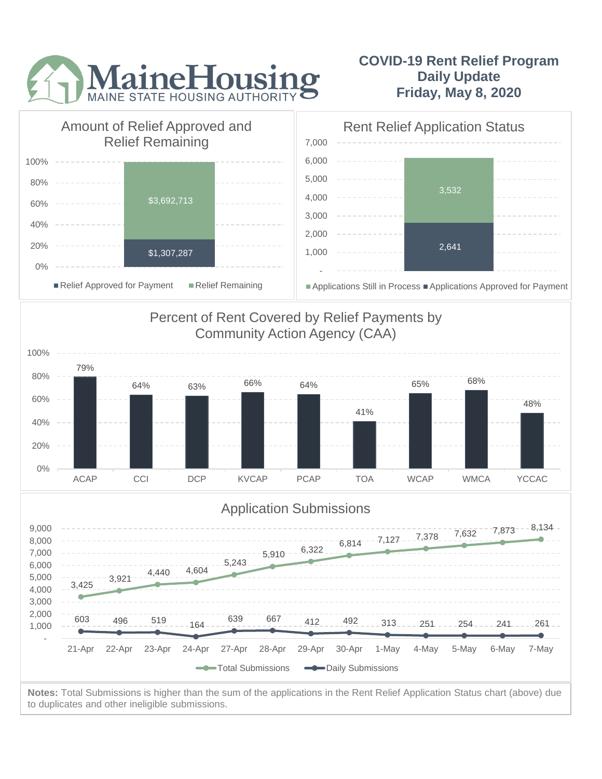

## **COVID-19 Rent Relief Program Daily Update Friday, May 8, 2020**



to duplicates and other ineligible submissions.